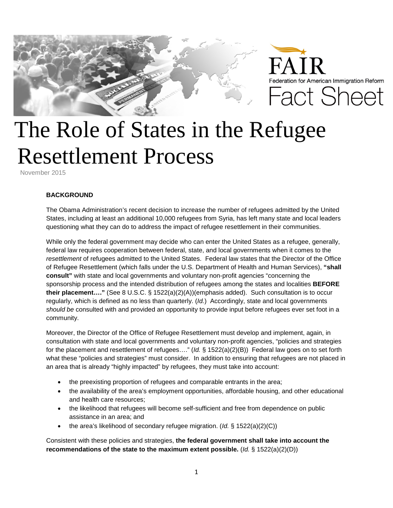

## The Role of States in the Refugee Resettlement Process

November 2015

## **BACKGROUND**

The Obama Administration's recent decision to increase the number of refugees admitted by the United States, including at least an additional 10,000 refugees from Syria, has left many state and local leaders questioning what they can do to address the impact of refugee resettlement in their communities.

While only the federal government may decide who can enter the United States as a refugee, generally, federal law requires cooperation between federal, state, and local governments when it comes to the *resettlement* of refugees admitted to the United States. Federal law states that the Director of the Office of Refugee Resettlement (which falls under the U.S. Department of Health and Human Services), **"shall consult"** with state and local governments and voluntary non-profit agencies "concerning the sponsorship process and the intended distribution of refugees among the states and localities **BEFORE their placement…."** (See 8 U.S.C. § 1522(a)(2)(A))(emphasis added). Such consultation is to occur regularly, which is defined as no less than quarterly. (*Id.*) Accordingly, state and local governments *should be* consulted with and provided an opportunity to provide input before refugees ever set foot in a community.

Moreover, the Director of the Office of Refugee Resettlement must develop and implement, again, in consultation with state and local governments and voluntary non-profit agencies, "policies and strategies for the placement and resettlement of refugees…." (*Id.* § 1522(a)(2)(B)) Federal law goes on to set forth what these "policies and strategies" must consider. In addition to ensuring that refugees are not placed in an area that is already "highly impacted" by refugees, they must take into account:

- the preexisting proportion of refugees and comparable entrants in the area;
- the availability of the area's employment opportunities, affordable housing, and other educational and health care resources;
- the likelihood that refugees will become self-sufficient and free from dependence on public assistance in an area; and
- the area's likelihood of secondary refugee migration. (*Id.* § 1522(a)(2)(C))

Consistent with these policies and strategies, **the federal government shall take into account the recommendations of the state to the maximum extent possible.** (*Id.* § 1522(a)(2)(D))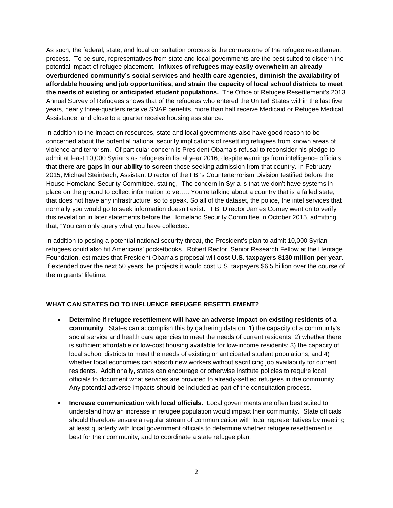As such, the federal, state, and local consultation process is the cornerstone of the refugee resettlement process. To be sure, representatives from state and local governments are the best suited to discern the potential impact of refugee placement. **Influxes of refugees may easily overwhelm an already overburdened community's social services and health care agencies, diminish the availability of affordable housing and job opportunities, and strain the capacity of local school districts to meet the needs of existing or anticipated student populations.** The Office of Refugee Resettlement's 2013 Annual Survey of Refugees shows that of the refugees who entered the United States within the last five years, nearly three-quarters receive SNAP benefits, more than half receive Medicaid or Refugee Medical Assistance, and close to a quarter receive housing assistance.

In addition to the impact on resources, state and local governments also have good reason to be concerned about the potential national security implications of resettling refugees from known areas of violence and terrorism. Of particular concern is President Obama's refusal to reconsider his pledge to admit at least 10,000 Syrians as refugees in fiscal year 2016, despite warnings from intelligence officials that **there are gaps in our ability to screen** those seeking admission from that country. In February 2015, Michael Steinbach, Assistant Director of the FBI's Counterterrorism Division testified before the House Homeland Security Committee, stating, "The concern in Syria is that we don't have systems in place on the ground to collect information to vet…. You're talking about a country that is a failed state, that does not have any infrastructure, so to speak. So all of the dataset, the police, the intel services that normally you would go to seek information doesn't exist." FBI Director James Comey went on to verify this revelation in later statements before the Homeland Security Committee in October 2015, admitting that, "You can only query what you have collected."

In addition to posing a potential national security threat, the President's plan to admit 10,000 Syrian refugees could also hit Americans' pocketbooks. Robert Rector, Senior Research Fellow at the Heritage Foundation, estimates that President Obama's proposal will **cost U.S. taxpayers \$130 million per year**. If extended over the next 50 years, he projects it would cost U.S. taxpayers \$6.5 billion over the course of the migrants' lifetime.

## **WHAT CAN STATES DO TO INFLUENCE REFUGEE RESETTLEMENT?**

- **Determine if refugee resettlement will have an adverse impact on existing residents of a community**. States can accomplish this by gathering data on: 1) the capacity of a community's social service and health care agencies to meet the needs of current residents; 2) whether there is sufficient affordable or low-cost housing available for low-income residents; 3) the capacity of local school districts to meet the needs of existing or anticipated student populations; and 4) whether local economies can absorb new workers without sacrificing job availability for current residents. Additionally, states can encourage or otherwise institute policies to require local officials to document what services are provided to already-settled refugees in the community. Any potential adverse impacts should be included as part of the consultation process.
- **Increase communication with local officials.** Local governments are often best suited to understand how an increase in refugee population would impact their community. State officials should therefore ensure a regular stream of communication with local representatives by meeting at least quarterly with local government officials to determine whether refugee resettlement is best for their community, and to coordinate a state refugee plan.